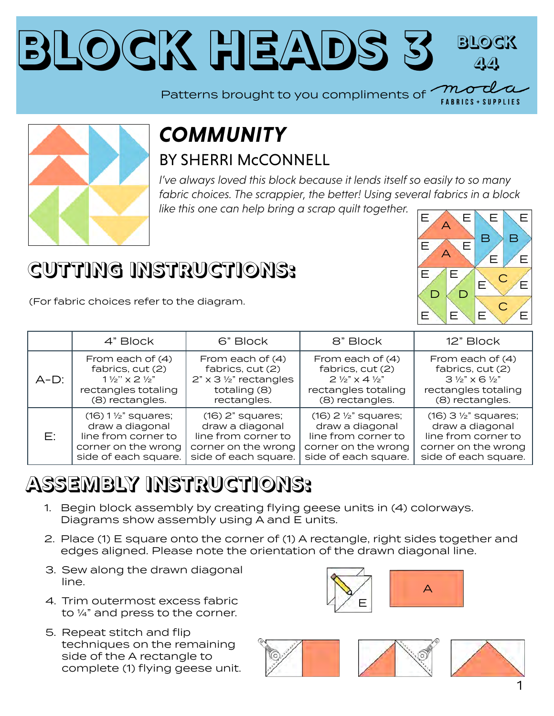#### **Block Heads [3](https://modafabrics.com) Block 44** Patterns brought to you compliments of  $\boxed{\phantom{a} m}$



#### *COMMUNITY* BY SHERRI McCONNELL

*I've always loved this block because it lends itself so easily to so many fabric choices. The scrappier, the better! Using several fabrics in a block like this one can help bring a scrap quilt together.*

### **CUTTING INSTRUCTIONS:**

(For fabric choices refer to the diagram.

|         | 4" Block                             | 6" Block                      | 8" Block                             | 12" Block                            |
|---------|--------------------------------------|-------------------------------|--------------------------------------|--------------------------------------|
| $A-D$ : | From each of (4)                     | From each of $(4)$            | From each of (4)                     | From each of (4)                     |
|         | fabrics, cut (2)                     | fabrics, cut (2)              | fabrics, cut (2)                     | fabrics, cut (2)                     |
|         | $1\frac{1}{2}$ " x 2 $\frac{1}{2}$ " | $2" \times 3$ 1/2" rectangles | $2\frac{1}{2}$ " x 4 $\frac{1}{2}$ " | $3\frac{1}{2}$ " x 6 $\frac{1}{2}$ " |
|         | rectangles totaling                  | totaling (8)                  | rectangles totaling                  | rectangles totaling                  |
|         | (8) rectangles.                      | rectangles.                   | (8) rectangles.                      | (8) rectangles.                      |
| F.      | $(16) 1$ $\frac{1}{2}$ " squares;    | $(16)$ 2" squares;            | $(16)$ 2 $\frac{1}{2}$ " squares;    | $(16)$ 3 $\frac{1}{2}$ " squares;    |
|         | draw a diagonal                      | draw a diagonal               | draw a diagonal                      | draw a diagonal                      |
|         | line from corner to                  | line from corner to           | line from corner to                  | line from corner to                  |
|         | corner on the wrong                  | corner on the wrong           | corner on the wrong                  | corner on the wrong                  |
|         | side of each square.                 | side of each square.          | side of each square.                 | side of each square.                 |

# **ASSEMBLY INSTRUCTIONS:**

- 1. Begin block assembly by creating flying geese units in (4) colorways. Diagrams show assembly using A and E units.
- 2. Place (1) E square onto the corner of (1) A rectangle, right sides together and edges aligned. Please note the orientation of the drawn diagonal line.
- 3. Sew along the drawn diagonal line.
- 4. Trim outermost excess fabric to ¼" and press to the corner.
- 5. Repeat stitch and flip techniques on the remaining side of the A rectangle to complete (1) flying geese unit.







**FABRICS + SUPPLIES**